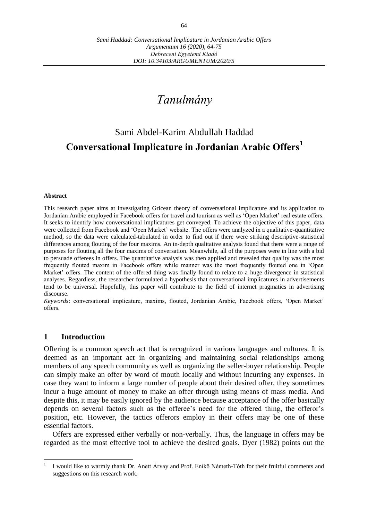# *Tanulmány*

# Sami Abdel-Karim Abdullah Haddad **Conversational Implicature in Jordanian Arabic Offers<sup>1</sup>**

#### **Abstract**

This research paper aims at investigating Gricean theory of conversational implicature and its application to Jordanian Arabic employed in Facebook offers for travel and tourism as well as 'Open Market' real estate offers. It seeks to identify how conversational implicatures get conveyed. To achieve the objective of this paper, data were collected from Facebook and 'Open Market' website. The offers were analyzed in a qualitative-quantitative method, so the data were calculated-tabulated in order to find out if there were striking descriptive-statistical differences among flouting of the four maxims. An in-depth qualitative analysis found that there were a range of purposes for flouting all the four maxims of conversation. Meanwhile, all of the purposes were in line with a bid to persuade offerees in offers. The quantitative analysis was then applied and revealed that quality was the most frequently flouted maxim in Facebook offers while manner was the most frequently flouted one in 'Open Market' offers. The content of the offered thing was finally found to relate to a huge divergence in statistical analyses. Regardless, the researcher formulated a hypothesis that conversational implicatures in advertisements tend to be universal. Hopefully, this paper will contribute to the field of internet pragmatics in advertising discourse.

*Keywords*: conversational implicature, maxims, flouted, Jordanian Arabic, Facebook offers, 'Open Market' offers.

## **1 Introduction**

Offering is a common speech act that is recognized in various languages and cultures. It is deemed as an important act in organizing and maintaining social relationships among members of any speech community as well as organizing the seller-buyer relationship. People can simply make an offer by word of mouth locally and without incurring any expenses. In case they want to inform a large number of people about their desired offer, they sometimes incur a huge amount of money to make an offer through using means of mass media. And despite this, it may be easily ignored by the audience because acceptance of the offer basically depends on several factors such as the offeree's need for the offered thing, the offeror's position, etc. However, the tactics offerors employ in their offers may be one of these essential factors.

Offers are expressed either verbally or non-verbally. Thus, the language in offers may be regarded as the most effective tool to achieve the desired goals. Dyer (1982) points out the

 $\overline{a}$ 1 I would like to warmly thank Dr. [Anett Árvay](https://www.facebook.com/profile.php?id=100002060737455&ref=br_rs) and Prof. [Enikő Németh-Tóth](https://www.facebook.com/profile.php?id=100011618677392&ref=br_rs) for their fruitful comments and suggestions on this research work.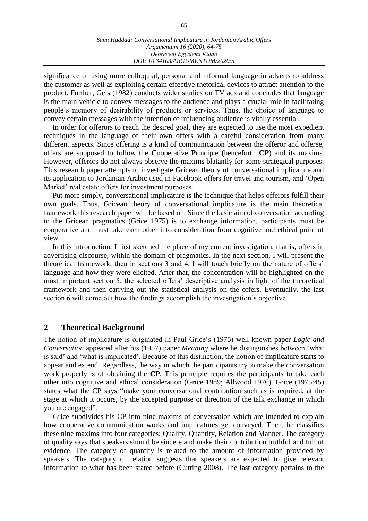significance of using more colloquial, personal and informal language in adverts to address the customer as well as exploiting certain effective rhetorical devices to attract attention to the product. Further, Geis (1982) conducts wider studies on TV ads and concludes that language is the main vehicle to convey messages to the audience and plays a crucial role in facilitating people's memory of desirability of products or services. Thus, the choice of language to convey certain messages with the intention of influencing audience is vitally essential.

In order for offerors to reach the desired goal, they are expected to use the most expedient techniques in the language of their own offers with a careful consideration from many different aspects. Since offering is a kind of communication between the offeror and offeree, offers are supposed to follow the **C**ooperative **P**rinciple (henceforth **CP**) and its maxims. However, offerors do not always observe the maxims blatantly for some strategical purposes. This research paper attempts to investigate Gricean theory of conversational implicature and its application to Jordanian Arabic used in Facebook offers for travel and tourism, and 'Open Market' real estate offers for investment purposes.

Put more simply, conversational implicature is the technique that helps offerors fulfill their own goals. Thus, Gricean theory of conversational implicature is the main theoretical framework this research paper will be based on. Since the basic aim of conversation according to the Gricean pragmatics (Grice 1975) is to exchange information, participants must be cooperative and must take each other into consideration from cognitive and ethical point of view.

In this introduction, I first sketched the place of my current investigation, that is, offers in advertising discourse, within the domain of pragmatics. In the next section, I will present the theoretical framework, then in sections 3 and 4, I will touch briefly on the nature of offers' language and how they were elicited. After that, the concentration will be highlighted on the most important section 5; the selected offers' descriptive analysis in light of the theoretical framework and then carrying out the statistical analysis on the offers. Eventually, the last section 6 will come out how the findings accomplish the investigation's objective.

## **2 Theoretical Background**

The notion of implicature is originated in Paul Grice's (1975) well-known paper *Logic and Conversation* appeared after his (1957) paper *Meaning* where he distinguishes between 'what is said' and 'what is implicated'. Because of this distinction, the notion of implicature starts to appear and extend. Regardless, the way in which the participants try to make the conversation work properly is of obtaining the **CP**. This principle requires the participants to take each other into cognitive and ethical consideration (Grice 1989; Allwood 1976). Grice (1975:45) states what the CP says "make your conversational contribution such as is required, at the stage at which it occurs, by the accepted purpose or direction of the talk exchange in which you are engaged".

Grice subdivides his CP into nine maxims of conversation which are intended to explain how cooperative communication works and implicatures get conveyed. Then, he classifies these nine maxims into four categories: Quality, Quantity, Relation and Manner. The category of quality says that speakers should be sincere and make their contribution truthful and full of evidence. The category of quantity is related to the amount of information provided by speakers. The category of relation suggests that speakers are expected to give relevant information to what has been stated before (Cutting 2008). The last category pertains to the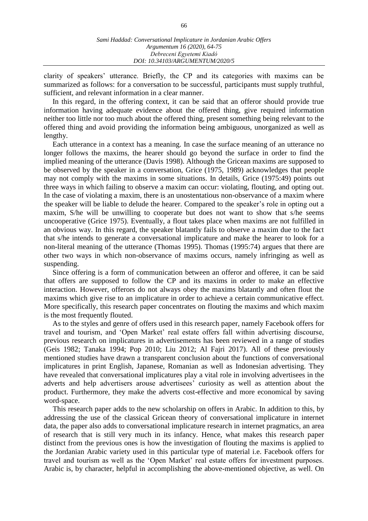clarity of speakers' utterance. Briefly, the CP and its categories with maxims can be summarized as follows: for a conversation to be successful, participants must supply truthful, sufficient, and relevant information in a clear manner.

In this regard, in the offering context, it can be said that an offeror should provide true information having adequate evidence about the offered thing, give required information neither too little nor too much about the offered thing, present something being relevant to the offered thing and avoid providing the information being ambiguous, unorganized as well as lengthy.

Each utterance in a context has a meaning. In case the surface meaning of an utterance no longer follows the maxims, the hearer should go beyond the surface in order to find the implied meaning of the utterance (Davis 1998). Although the Gricean maxims are supposed to be observed by the speaker in a conversation, Grice (1975, 1989) acknowledges that people may not comply with the maxims in some situations. In details, Grice (1975:49) points out three ways in which failing to observe a maxim can occur: violating, flouting, and opting out. In the case of violating a maxim, there is an unostentatious non-observance of a maxim where the speaker will be liable to delude the hearer. Compared to the speaker's role in opting out a maxim, S/he will be unwilling to cooperate but does not want to show that s/he seems uncooperative (Grice 1975). Eventually, a flout takes place when maxims are not fulfilled in an obvious way. In this regard, the speaker blatantly fails to observe a maxim due to the fact that s/he intends to generate a conversational implicature and make the hearer to look for a non-literal meaning of the utterance (Thomas 1995). Thomas (1995:74) argues that there are other two ways in which non-observance of maxims occurs, namely infringing as well as suspending.

Since offering is a form of communication between an offeror and offeree, it can be said that offers are supposed to follow the CP and its maxims in order to make an effective interaction. However, offerors do not always obey the maxims blatantly and often flout the maxims which give rise to an implicature in order to achieve a certain communicative effect. More specifically, this research paper concentrates on flouting the maxims and which maxim is the most frequently flouted.

As to the styles and genre of offers used in this research paper, namely Facebook offers for travel and tourism, and 'Open Market' real estate offers fall within advertising discourse, previous research on implicatures in advertisements has been reviewed in a range of studies (Geis 1982; Tanaka 1994; Pop 2010; Liu 2012; Al Fajri 2017). All of these previously mentioned studies have drawn a transparent conclusion about the functions of conversational implicatures in print English, Japanese, Romanian as well as Indonesian advertising. They have revealed that conversational implicatures play a vital role in involving advertisees in the adverts and help advertisers arouse advertisees' curiosity as well as attention about the product. Furthermore, they make the adverts cost-effective and more economical by saving word-space.

This research paper adds to the new scholarship on offers in Arabic. In addition to this, by addressing the use of the classical Gricean theory of conversational implicature in internet data, the paper also adds to conversational implicature research in internet pragmatics, an area of research that is still very much in its infancy. Hence, what makes this research paper distinct from the previous ones is how the investigation of flouting the maxims is applied to the Jordanian Arabic variety used in this particular type of material i.e. Facebook offers for travel and tourism as well as the 'Open Market' real estate offers for investment purposes. Arabic is, by character, helpful in accomplishing the above-mentioned objective, as well. On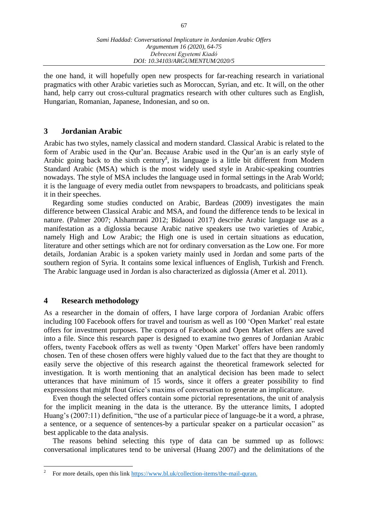the one hand, it will hopefully open new prospects for far-reaching research in variational pragmatics with other Arabic varieties such as Moroccan, Syrian, and etc. It will, on the other hand, help carry out cross-cultural pragmatics research with other cultures such as English, Hungarian, Romanian, Japanese, Indonesian, and so on.

# **3 Jordanian Arabic**

Arabic has two styles, namely classical and modern standard. Classical Arabic is related to the form of Arabic used in the Qur'an. Because Arabic used in the Qur'an is an early style of Arabic going back to the sixth century<sup>2</sup>, its language is a little bit different from Modern Standard Arabic (MSA) which is the most widely used style in Arabic-speaking countries nowadays. The style of MSA includes the language used in formal settings in the Arab World; it is the language of every media outlet from newspapers to broadcasts, and politicians speak it in their speeches.

Regarding some studies conducted on Arabic, Bardeas (2009) investigates the main difference between Classical Arabic and MSA, and found the difference tends to be lexical in nature. (Palmer 2007; Alshamrani 2012; Bidaoui 2017) describe Arabic language use as a manifestation as a diglossia because Arabic native speakers use two varieties of Arabic, namely High and Low Arabic; the High one is used in certain situations as education, literature and other settings which are not for ordinary conversation as the Low one. For more details, Jordanian Arabic is a spoken variety mainly used in Jordan and some parts of the southern region of Syria. It contains some lexical influences of English, Turkish and French. The Arabic language used in Jordan is also characterized as diglossia (Amer et al. 2011).

# **4 Research methodology**

 $\overline{a}$ 

As a researcher in the domain of offers, I have large corpora of Jordanian Arabic offers including 100 Facebook offers for travel and tourism as well as 100 'Open Market' real estate offers for investment purposes. The corpora of Facebook and Open Market offers are saved into a file. Since this research paper is designed to examine two genres of Jordanian Arabic offers, twenty Facebook offers as well as twenty 'Open Market' offers have been randomly chosen. Ten of these chosen offers were highly valued due to the fact that they are thought to easily serve the objective of this research against the theoretical framework selected for investigation. It is worth mentioning that an analytical decision has been made to select utterances that have minimum of 15 words, since it offers a greater possibility to find expressions that might flout Grice's maxims of conversation to generate an implicature.

Even though the selected offers contain some pictorial representations, the unit of analysis for the implicit meaning in the data is the utterance. By the utterance limits, I adopted Huang's (2007:11) definition, "the use of a particular piece of language-be it a word, a phrase, a sentence, or a sequence of sentences-by a particular speaker on a particular occasion" as best applicable to the data analysis.

The reasons behind selecting this type of data can be summed up as follows: conversational implicatures tend to be universal (Huang 2007) and the delimitations of the

<sup>2</sup> For more details, open this link [https://www.bl.uk/collection-items/the-mail-quran.](https://www.bl.uk/collection-items/the-mail-quran)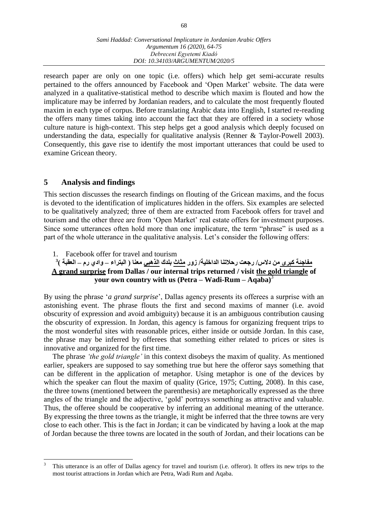research paper are only on one topic (i.e. offers) which help get semi-accurate results pertained to the offers announced by Facebook and 'Open Market' website. The data were analyzed in a qualitative-statistical method to describe which maxim is flouted and how the implicature may be inferred by Jordanian readers, and to calculate the most frequently flouted maxim in each type of corpus. Before translating Arabic data into English, I started re-reading the offers many times taking into account the fact that they are offered in a society whose culture nature is high-context. This step helps get a good analysis which deeply focused on understanding the data, especially for qualitative analysis (Renner & Taylor-Powell 2003). Consequently, this gave rise to identify the most important utterances that could be used to examine Gricean theory.

# **5 Analysis and findings**

 $\overline{a}$ 

This section discusses the research findings on flouting of the Gricean maxims, and the focus is devoted to the identification of implicatures hidden in the offers. Six examples are selected to be qualitatively analyzed; three of them are extracted from Facebook offers for travel and tourism and the other three are from 'Open Market' real estate offers for investment purposes. Since some utterances often hold more than one implicature, the term "phrase" is used as a part of the whole utterance in the qualitative analysis. Let's consider the following offers:

1. Facebook offer for travel and tourism

# مفاجئة كبرى من دلاس/ رجعت رحلاتنا الداخلية/ زور <u>مثاث</u> بلدك <u>الذهبي</u> معنا ( البتراء – وادي رم – العقبة )<sup>3</sup> **A grand surprise from Dallas / our internal trips returned / visit the gold triangle of your own country with us (Petra – Wadi-Rum – Aqaba)**<sup>3</sup>

By using the phrase '*a grand surprise*', Dallas agency presents its offerees a surprise with an astonishing event. The phrase flouts the first and second maxims of manner (i.e. avoid obscurity of expression and avoid ambiguity) because it is an ambiguous contribution causing the obscurity of expression. In Jordan, this agency is famous for organizing frequent trips to the most wonderful sites with reasonable prices, either inside or outside Jordan. In this case, the phrase may be inferred by offerees that something either related to prices or sites is innovative and organized for the first time.

The phrase *'the gold triangle'* in this context disobeys the maxim of quality. As mentioned earlier, speakers are supposed to say something true but here the offeror says something that can be different in the application of metaphor. Using metaphor is one of the devices by which the speaker can flout the maxim of quality (Grice, 1975; Cutting, 2008). In this case, the three towns (mentioned between the parenthesis) are metaphorically expressed as the three angles of the triangle and the adjective, 'gold' portrays something as attractive and valuable. Thus, the offeree should be cooperative by inferring an additional meaning of the utterance. By expressing the three towns as the triangle, it might be inferred that the three towns are very close to each other. This is the fact in Jordan; it can be vindicated by having a look at the map of Jordan because the three towns are located in the south of Jordan, and their locations can be

<sup>3</sup> This utterance is an offer of Dallas agency for travel and tourism (i.e. offeror). It offers its new trips to the most tourist attractions in Jordan which are Petra, Wadi Rum and Aqaba.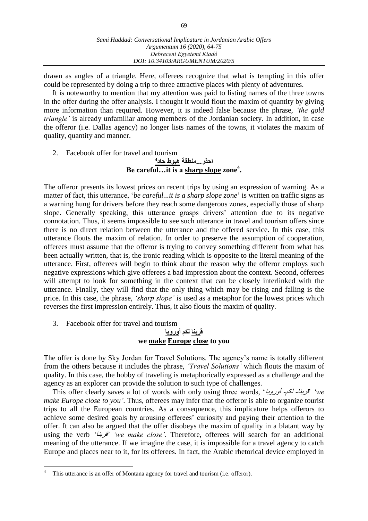drawn as angles of a triangle. Here, offerees recognize that what is tempting in this offer could be represented by doing a trip to three attractive places with plenty of adventures.

It is noteworthy to mention that my attention was paid to listing names of the three towns in the offer during the offer analysis. I thought it would flout the maxim of quantity by giving more information than required. However, it is indeed false because the phrase, *'the gold triangle'* is already unfamiliar among members of the Jordanian society. In addition, in case the offeror (i.e. Dallas agency) no longer lists names of the towns, it violates the maxim of quality, quantity and manner.

2. Facebook offer for travel and tourism

# احذر...منطقة <u>هبوط حاد<sup>4</sup></u> **Be careful…it is a sharp slope zone<sup>4</sup> .**

The offeror presents its lowest prices on recent trips by using an expression of warning. As a matter of fact, this utterance, '*be careful...it is a sharp slope zone*' is written on traffic signs as a warning hung for drivers before they reach some dangerous zones, especially those of sharp slope. Generally speaking, this utterance grasps drivers' attention due to its negative connotation. Thus, it seems impossible to see such utterance in travel and tourism offers since there is no direct relation between the utterance and the offered service. In this case, this utterance flouts the maxim of relation. In order to preserve the assumption of cooperation, offerees must assume that the offeror is trying to convey something different from what has been actually written, that is, the ironic reading which is opposite to the literal meaning of the utterance. First, offerees will begin to think about the reason why the offeror employs such negative expressions which give offerees a bad impression about the context. Second, offerees will attempt to look for something in the context that can be closely interlinked with the utterance. Finally, they will find that the only thing which may be rising and falling is the price. In this case, the phrase, *'sharp slope'* is used as a metaphor for the lowest prices which reverses the first impression entirely. Thus, it also flouts the maxim of quality.

3. Facebook offer for travel and tourism

 $\overline{a}$ 

# **قربنا لكم أوروبا we make Europe close to you**

The offer is done by Sky Jordan for Travel Solutions. The agency's name is totally different from the others because it includes the phrase, *'Travel Solutions'* which flouts the maxim of quality. In this case, the hobby of traveling is metaphorically expressed as a challenge and the agency as an explorer can provide the solution to such type of challenges.

This offer clearly saves a lot of words with only using three words, 'أوروبا -لكم -قربنا*'* '*we make Europe close to you'*. Thus, offerees may infer that the offeror is able to organize tourist trips to all the European countries. As a consequence, this implicature helps offerors to achieve some desired goals by arousing offerees' curiosity and paying their attention to the offer. It can also be argued that the offer disobeys the maxim of quality in a blatant way by using the verb *'*قربنا*' 'we make close'*. Therefore, offerees will search for an additional meaning of the utterance. If we imagine the case, it is impossible for a travel agency to catch Europe and places near to it, for its offerees. In fact, the Arabic rhetorical device employed in

This utterance is an offer of Montana agency for travel and tourism (i.e. offeror).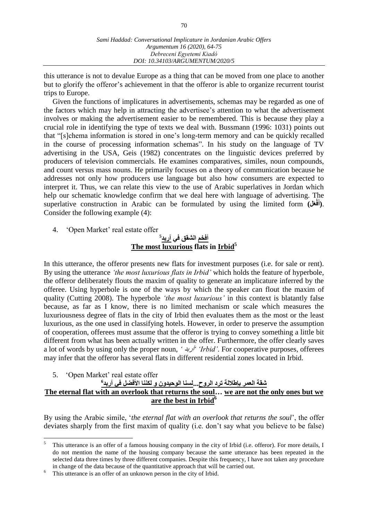this utterance is not to devalue Europe as a thing that can be moved from one place to another but to glorify the offeror's achievement in that the offeror is able to organize recurrent tourist trips to Europe.

Given the functions of implicatures in advertisements, schemas may be regarded as one of the factors which may help in attracting the advertisee's attention to what the advertisement involves or making the advertisement easier to be remembered. This is because they play a crucial role in identifying the type of texts we deal with. Bussmann (1996: 1031) points out that "[s]chema information is stored in one's long-term memory and can be quickly recalled in the course of processing information schemas". In his study on the language of TV advertising in the USA, Geis (1982) concentrates on the linguistic devices preferred by producers of television commercials. He examines comparatives, similes, noun compounds, and count versus mass nouns. He primarily focuses on a theory of communication because he addresses not only how producers use language but also how consumers are expected to interpret it. Thus, we can relate this view to the use of Arabic superlatives in Jordan which help our schematic knowledge confirm that we deal here with language of advertising. The superlative construction in Arabic can be formulated by using the limited form **(لَع فْ** .**(أ َ** Consider the following example (4):

4. 'Open Market' real estate offer

# **5 أفخم الشقق في آربد The most luxurious flats in Irbid<sup>5</sup>**

In this utterance, the offeror presents new flats for investment purposes (i.e. for sale or rent). By using the utterance *'the most luxurious flats in Irbid'* which holds the feature of hyperbole, the offeror deliberately flouts the maxim of quality to generate an implicature inferred by the offeree. Using hyperbole is one of the ways by which the speaker can flout the maxim of quality (Cutting 2008). The hyperbole *'the most luxurious'* in this context is blatantly false because, as far as I know, there is no limited mechanism or scale which measures the luxuriousness degree of flats in the city of Irbid then evaluates them as the most or the least luxurious, as the one used in classifying hotels. However, in order to preserve the assumption of cooperation, offerees must assume that the offeror is trying to convey something a little bit different from what has been actually written in the offer. Furthermore, the offer clearly saves a lot of words by using only the proper noun, *'* آربد*' 'Irbid'*. For cooperative purposes, offerees may infer that the offeror has several flats in different residential zones located in Irbid.

5. 'Open Market' real estate offer

 $\overline{a}$ 

## **6 شقة العمر بإطتالة نرد الروح...لسنا الولةدون و لكننا األفضل في آربد The eternal flat with an overlook that returns the soul… we are not the only ones but we are the best in Irbid<sup>6</sup>**

By using the Arabic simile, '*the eternal flat with an overlook that returns the soul*', the offer deviates sharply from the first maxim of quality (i.e. don't say what you believe to be false)

<sup>5</sup> This utterance is an offer of a famous housing company in the city of Irbid (i.e. offeror). For more details, I do not mention the name of the housing company because the same utterance has been repeated in the selected data three times by three different companies. Despite this frequency, I have not taken any procedure in change of the data because of the quantitative approach that will be carried out.

<sup>&</sup>lt;sup>6</sup> This utterance is an offer of an unknown person in the city of Irbid.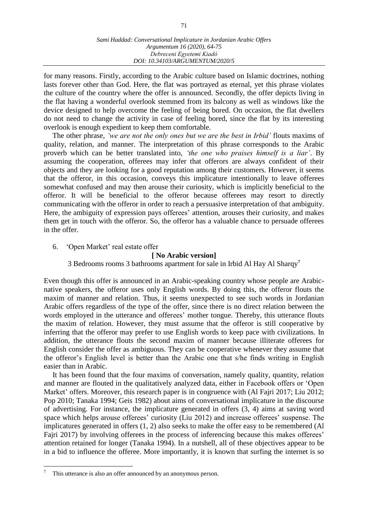for many reasons. Firstly, according to the Arabic culture based on Islamic doctrines, nothing lasts forever other than God. Here, the flat was portrayed as eternal, yet this phrase violates the culture of the country where the offer is announced. Secondly, the offer depicts living in the flat having a wonderful overlook stemmed from its balcony as well as windows like the device designed to help overcome the feeling of being bored. On occasion, the flat dwellers do not need to change the activity in case of feeling bored, since the flat by its interesting overlook is enough expedient to keep them comfortable.

The other phrase, *'we are not the only ones but we are the best in Irbid'* flouts maxims of quality, relation, and manner. The interpretation of this phrase corresponds to the Arabic proverb which can be better translated into, *'the one who praises himself is a liar'*. By assuming the cooperation, offerees may infer that offerors are always confident of their objects and they are looking for a good reputation among their customers. However, it seems that the offeror, in this occasion, conveys this implicature intentionally to leave offerees somewhat confused and may then arouse their curiosity, which is implicitly beneficial to the offeror. It will be beneficial to the offeror because offerees may resort to directly communicating with the offeror in order to reach a persuasive interpretation of that ambiguity. Here, the ambiguity of expression pays offerees' attention, arouses their curiosity, and makes them get in touch with the offeror. So, the offeror has a valuable chance to persuade offerees in the offer.

6. 'Open Market' real estate offer

## **[ No Arabic version]**

3 Bedrooms rooms 3 bathrooms apartment for sale in Irbid Al Hay Al Sharqy**<sup>7</sup>**

Even though this offer is announced in an Arabic-speaking country whose people are Arabicnative speakers, the offeror uses only English words. By doing this, the offeror flouts the maxim of manner and relation. Thus, it seems unexpected to see such words in Jordanian Arabic offers regardless of the type of the offer, since there is no direct relation between the words employed in the utterance and offerees' mother tongue. Thereby, this utterance flouts the maxim of relation. However, they must assume that the offeror is still cooperative by inferring that the offeror may prefer to use English words to keep pace with civilizations. In addition, the utterance flouts the second maxim of manner because illiterate offerees for English consider the offer as ambiguous. They can be cooperative whenever they assume that the offeror's English level is better than the Arabic one that s/he finds writing in English easier than in Arabic.

It has been found that the four maxims of conversation, namely quality, quantity, relation and manner are flouted in the qualitatively analyzed data, either in Facebook offers or 'Open Market' offers. Moreover, this research paper is in congruence with (Al Fajri 2017; Liu 2012; Pop 2010; Tanaka 1994; Geis 1982) about aims of conversational implicature in the discourse of advertising. For instance, the implicature generated in offers (3, 4) aims at saving word space which helps arouse offerees' curiosity (Liu 2012) and increase offerees' suspense. The implicatures generated in offers (1, 2) also seeks to make the offer easy to be remembered (Al Fajri 2017) by involving offerees in the process of inferencing because this makes offerees' attention retained for longer (Tanaka 1994). In a nutshell, all of these objectives appear to be in a bid to influence the offeree. More importantly, it is known that surfing the internet is so

 $\overline{a}$ 

This utterance is also an offer announced by an anonymous person.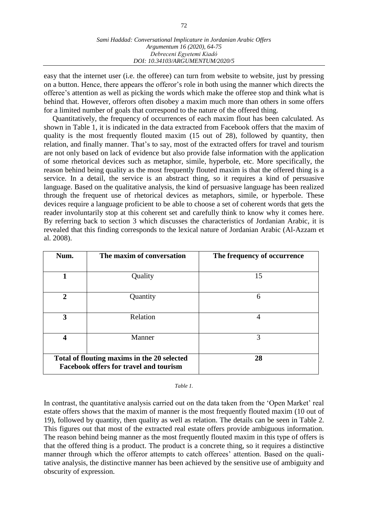easy that the internet user (i.e. the offeree) can turn from website to website, just by pressing on a button. Hence, there appears the offeror's role in both using the manner which directs the offeree's attention as well as picking the words which make the offeree stop and think what is behind that. However, offerors often disobey a maxim much more than others in some offers for a limited number of goals that correspond to the nature of the offered thing.

Quantitatively, the frequency of occurrences of each maxim flout has been calculated. As shown in Table 1, it is indicated in the data extracted from Facebook offers that the maxim of quality is the most frequently flouted maxim (15 out of 28), followed by quantity, then relation, and finally manner. That's to say, most of the extracted offers for travel and tourism are not only based on lack of evidence but also provide false information with the application of some rhetorical devices such as metaphor, simile, hyperbole, etc. More specifically, the reason behind being quality as the most frequently flouted maxim is that the offered thing is a service. In a detail, the service is an abstract thing, so it requires a kind of persuasive language. Based on the qualitative analysis, the kind of persuasive language has been realized through the frequent use of rhetorical devices as metaphors, simile, or hyperbole. These devices require a language proficient to be able to choose a set of coherent words that gets the reader involuntarily stop at this coherent set and carefully think to know why it comes here. By referring back to section 3 which discusses the characteristics of Jordanian Arabic, it is revealed that this finding corresponds to the lexical nature of Jordanian Arabic (Al-Azzam et al. 2008).

| Num.                                          | The maxim of conversation | The frequency of occurrence |
|-----------------------------------------------|---------------------------|-----------------------------|
|                                               |                           |                             |
| 1                                             | Quality                   | 15                          |
|                                               |                           |                             |
| $\mathbf{2}$                                  | Quantity                  | 6                           |
|                                               |                           |                             |
| 3                                             | Relation                  | 4                           |
|                                               |                           |                             |
| 4                                             | Manner                    | 3                           |
|                                               |                           |                             |
| Total of flouting maxims in the 20 selected   |                           | 28                          |
| <b>Facebook offers for travel and tourism</b> |                           |                             |

### *Table 1.*

In contrast, the quantitative analysis carried out on the data taken from the 'Open Market' real estate offers shows that the maxim of manner is the most frequently flouted maxim (10 out of 19), followed by quantity, then quality as well as relation. The details can be seen in Table 2. This figures out that most of the extracted real estate offers provide ambiguous information. The reason behind being manner as the most frequently flouted maxim in this type of offers is that the offered thing is a product. The product is a concrete thing, so it requires a distinctive manner through which the offeror attempts to catch offerees' attention. Based on the qualitative analysis, the distinctive manner has been achieved by the sensitive use of ambiguity and obscurity of expression.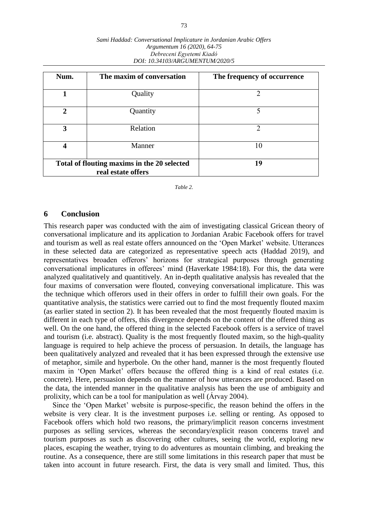| Num.                                                              | The maxim of conversation | The frequency of occurrence |
|-------------------------------------------------------------------|---------------------------|-----------------------------|
| 1                                                                 | Quality                   | 2                           |
| $\overline{2}$                                                    | Quantity                  | 5                           |
| 3                                                                 | Relation                  | $\mathcal{D}$               |
| 4                                                                 | Manner                    | 10                          |
| Total of flouting maxims in the 20 selected<br>real estate offers |                           | 19                          |

#### *Sami Haddad: Conversational Implicature in Jordanian Arabic Offers Argumentum 16 (2020), 64-75 Debreceni Egyetemi Kiadó DOI: 10.34103/ARGUMENTUM/2020/5*

*Table 2.*

### **6 Conclusion**

This research paper was conducted with the aim of investigating classical Gricean theory of conversational implicature and its application to Jordanian Arabic Facebook offers for travel and tourism as well as real estate offers announced on the 'Open Market' website. Utterances in these selected data are categorized as representative speech acts (Haddad 2019), and representatives broaden offerors' horizons for strategical purposes through generating conversational implicatures in offerees' mind (Haverkate 1984:18). For this, the data were analyzed qualitatively and quantitively. An in-depth qualitative analysis has revealed that the four maxims of conversation were flouted, conveying conversational implicature. This was the technique which offerors used in their offers in order to fulfill their own goals. For the quantitative analysis, the statistics were carried out to find the most frequently flouted maxim (as earlier stated in section 2). It has been revealed that the most frequently flouted maxim is different in each type of offers, this divergence depends on the content of the offered thing as well. On the one hand, the offered thing in the selected Facebook offers is a service of travel and tourism (i.e. abstract). Quality is the most frequently flouted maxim, so the high-quality language is required to help achieve the process of persuasion. In details, the language has been qualitatively analyzed and revealed that it has been expressed through the extensive use of metaphor, simile and hyperbole. On the other hand, manner is the most frequently flouted maxim in 'Open Market' offers because the offered thing is a kind of real estates (i.e. concrete). Here, persuasion depends on the manner of how utterances are produced. Based on the data, the intended manner in the qualitative analysis has been the use of ambiguity and prolixity, which can be a tool for manipulation as well (Árvay 2004).

Since the 'Open Market' website is purpose-specific, the reason behind the offers in the website is very clear. It is the investment purposes i.e. selling or renting. As opposed to Facebook offers which hold two reasons, the primary/implicit reason concerns investment purposes as selling services, whereas the secondary/explicit reason concerns travel and tourism purposes as such as discovering other cultures, seeing the world, exploring new places, escaping the weather, trying to do adventures as mountain climbing, and breaking the routine. As a consequence, there are still some limitations in this research paper that must be taken into account in future research. First, the data is very small and limited. Thus, this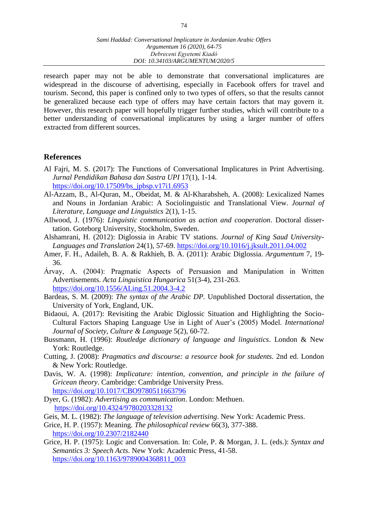research paper may not be able to demonstrate that conversational implicatures are widespread in the discourse of advertising, especially in Facebook offers for travel and tourism. Second, this paper is confined only to two types of offers, so that the results cannot be generalized because each type of offers may have certain factors that may govern it. However, this research paper will hopefully trigger further studies, which will contribute to a better understanding of conversational implicatures by using a larger number of offers extracted from different sources.

# **References**

- Al Fajri, M. S. (2017): The Functions of Conversational Implicatures in Print Advertising. *Jurnal Pendidikan Bahasa dan Sastra UPI* 17(1), 1-14. [https://doi.org/10.17509/bs\\_jpbsp.v17i1.6953](https://doi.org/10.17509/bs_jpbsp.v17i1.6953)
- Al-Azzam, B., Al-Quran, M., Obeidat, M. & Al-Kharabsheh, A. (2008): Lexicalized Names and Nouns in Jordanian Arabic: A Sociolinguistic and Translational View. *Journal of Literature, Language and Linguistics* 2(1), 1-15.
- Allwood, J. (1976): *Linguistic communication as action and cooperation*. Doctoral dissertation. Goteborg University, Stockholm, Sweden.
- Alshamrani, H. (2012): Diglossia in Arabic TV stations. *Journal of King Saud University-Languages and Translation* 24(1), 57-69. <https://doi.org/10.1016/j.jksult.2011.04.002>
- Amer, F. H., Adaileh, B. A. & Rakhieh, B. A. (2011): Arabic Diglossia. *Argumentum* 7, 19- 36.
- Árvay, A. (2004): Pragmatic Aspects of Persuasion and Manipulation in Written Advertisements. *Acta Linguistica Hungarica* 51(3-4), 231-263. <https://doi.org/10.1556/ALing.51.2004.3-4.2>
- Bardeas, S. M. (2009): *The syntax of the Arabic DP.* Unpublished Doctoral dissertation, the University of York, England, UK.
- Bidaoui, A. (2017): Revisiting the Arabic Diglossic Situation and Highlighting the Socio-Cultural Factors Shaping Language Use in Light of Auer's (2005) Model. *International Journal of Society, Culture & Language* 5(2), 60-72.
- Bussmann, H. (1996): *Routledge dictionary of language and linguistics*. London & New York: Routledge.
- Cutting, J. (2008): *Pragmatics and discourse: a resource book for students.* 2nd ed. London & New York: Routledge.
- Davis, W. A. (1998): *Implicature: intention, convention, and principle in the failure of Gricean theory*. Cambridge: Cambridge University Press. <https://doi.org/10.1017/CBO9780511663796>
- Dyer, G. (1982): *Advertising as communication*. London: Methuen. <https://doi.org/10.4324/9780203328132>
- Geis, M. L. (1982): *The language of television advertising*. New York: Academic Press.
- Grice, H. P. (1957): Meaning. *The philosophical review* 66(3), 377-388. <https://doi.org/10.2307/2182440>
- Grice, H. P. (1975): Logic and Conversation. In: Cole, P. & Morgan, J. L. (eds.): *Syntax and Semantics 3: Speech Acts*. New York: Academic Press, 41-58. [https://doi.org/10.1163/9789004368811\\_003](https://doi.org/10.1163/9789004368811_003)